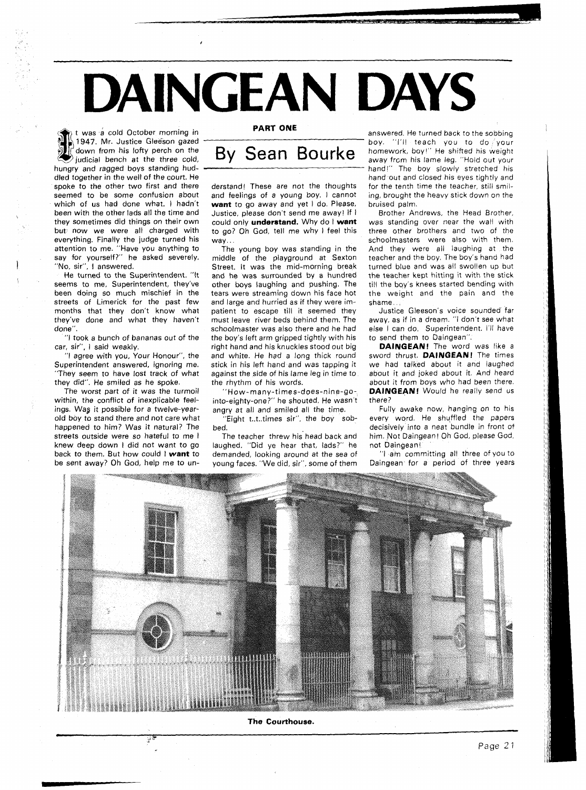**DAINGEAN DAYS** 

t was a cold October morning in 1947. Mr. Justice Gleeson gazed down from his lofty perch on the  $\blacktriangleright$  judicial bench at the three cold, hungry and ragged boys standing huddled together in the well of the court. He spoke to the other two first and there seemed to be some confusion about which of us had done what. I hadn't been with the other lads all the time and they sometimes did things on their own but now we were all charged with everything. Finally the judge turned his attention to me. "Have you anything to say for yourself?" he asked severely. "No, sir", I answered.

He turned to the Superintendent. "It seems to me, Superintendent, they've been doing so much mischief in the streets of Limerick for the past few months that they don't know what they've done and what they haven't done".

"I took a bunch of bananas out of the car, sir", I said weakly.

"I agree with you, Your Honour", the Superintendent answered, ignoring me. "They seem to have lost track of what they did". He smiled as he spoke.

The worst part of it was the turmoil within, the conflict of inexplicable feelings. Was it possible for a twelve-yearold boy to stand there and not care what happened to him? Was it natural? The streets outside were so hateful to me I knew deep down I did not want to go back to them. But how could I **want** to be sent away? Oh God, help me to un-

\* **,a** 

**PART ONE** 

## By Sean Bourke

derstand! These are not the thoughts and feelings of a young boy. I cannot **want** to go away and yet I do. Please, Justice, please don't send me away! If I could only **understand.** Why do I **want**  to go? Oh God, tell me why I feel this way..

The young boy was standing in the middle of the playground at Sexton Street. It was the mid-morning break and he was surrounded by a hundred other boys laughing and pushing. The tears were streaming down his face hot and large and hurried as if they were impatient to escape till it seemed they must leave river beds behind them. The schoolmaster was also there and he had the boy's left arm gripped tightly with his right hand and his knuckles stood out big and white. He had a long thick round stick in his left hand and was tapping it against the side of his lame leg in time to the rhythm of his words.

"How-many-times-does-nine-gointo-eighty-one?" he shouted. He wasn't angry at all and smiled all the time.

"Eight t..t..times sir", the boy sobbed.

The teacher threw his head back and laughed. "Did ye hear that, lads?" he demanded, looking around at the sea of young faces. "We did, sir", some of them

answered. He turned back to the sobbing boy. "I'll teach you to do your homework, boyl" He shifted his weight away frcm his lame leg. "Hold out your hand!" The boy slowly stretched his hand out and closed his eyes tightly and for the tenth time the teacher, still smiling, brought the heavy stick down on the bruised palm.

Brother Andrews, the Head Brother, was standing over near the wall with three other brothers and two of the schoolmasters were also with them. And they were all laughing at the teacher and the boy. The boy's hand had turned blue and was all swollen up but the teacher kept hitting it with the stick till the boy's knees started bending with the weight and the pain and the

shame.. . Justice Gleeson's voice sounded' far away, as if in a dream. "I don't see what else I can do, Superintendent. I'II have to send them to Daingean".

**DAINGEAN!** The word was like a sword thrust. **DAINGEAN!** The times we had talked about it and laughed about it and joked about it. And heard about it from boys who had been there. **DAINGEAN!** Would he really send us there?

Fully awake now, hanging on to his every word. He shuffled the papers decisively into a neat bundle in front of him. Not Daingean! Oh God, please God. not Daingean!

"I am committing all three of you to Daingean for a period of three years



**The Courthouse.**